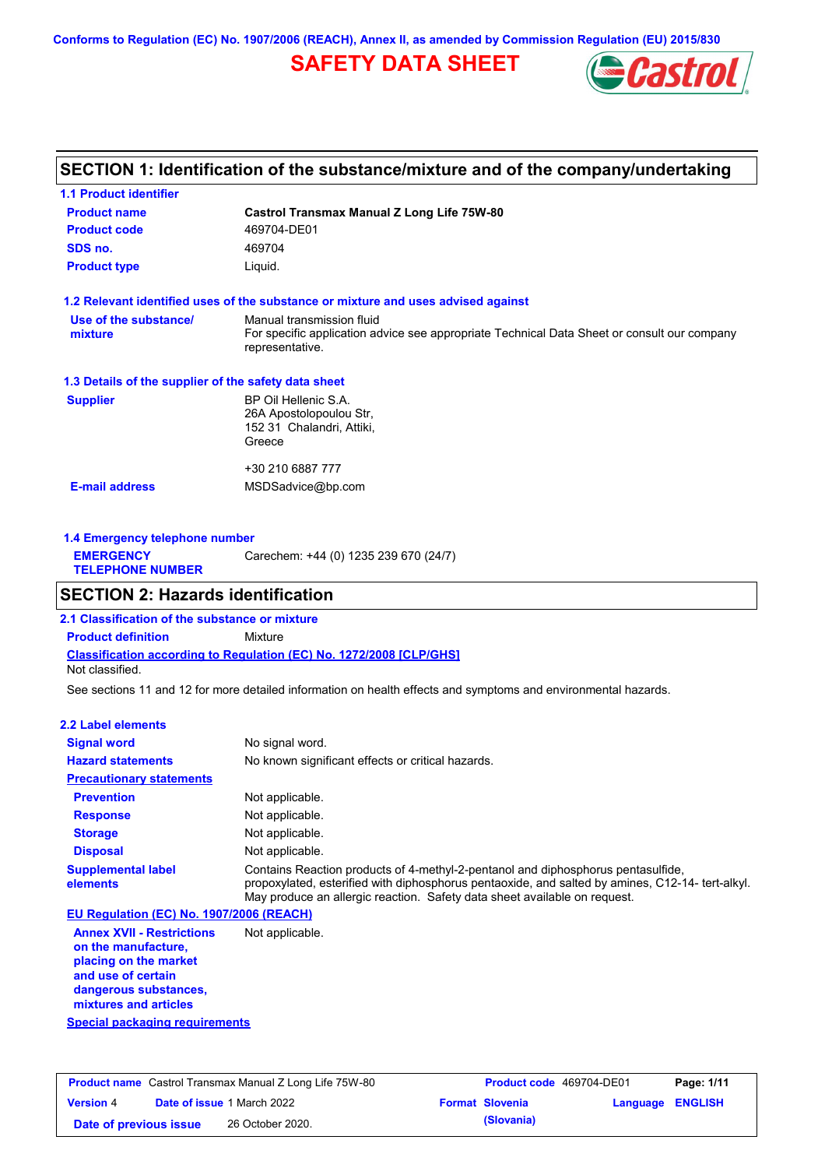**Conforms to Regulation (EC) No. 1907/2006 (REACH), Annex II, as amended by Commission Regulation (EU) 2015/830**

# **SAFETY DATA SHEET**



# **SECTION 1: Identification of the substance/mixture and of the company/undertaking**

| <b>1.1 Product identifier</b>                        |                                                                                                                                             |
|------------------------------------------------------|---------------------------------------------------------------------------------------------------------------------------------------------|
| <b>Product name</b>                                  | Castrol Transmax Manual Z Long Life 75W-80                                                                                                  |
| <b>Product code</b>                                  | 469704-DE01                                                                                                                                 |
| SDS no.                                              | 469704                                                                                                                                      |
| <b>Product type</b>                                  | Liquid.                                                                                                                                     |
|                                                      | 1.2 Relevant identified uses of the substance or mixture and uses advised against                                                           |
| Use of the substance/<br>mixture                     | Manual transmission fluid<br>For specific application advice see appropriate Technical Data Sheet or consult our company<br>representative. |
| 1.3 Details of the supplier of the safety data sheet |                                                                                                                                             |
| <b>Supplier</b>                                      | BP Oil Hellenic S.A.<br>26A Apostolopoulou Str.<br>152 31 Chalandri, Attiki,<br>Greece                                                      |
|                                                      | +30 210 6887 777                                                                                                                            |
| <b>E-mail address</b>                                | MSDSadvice@bp.com                                                                                                                           |
|                                                      |                                                                                                                                             |

| Carechem: +44 (0) 1235 239 670 (24/7)<br><b>EMERGENCY</b><br><b>TELEPHONE NUMBER</b> | 1.4 Emergency telephone number |  |
|--------------------------------------------------------------------------------------|--------------------------------|--|
|                                                                                      |                                |  |

## **SECTION 2: Hazards identification**

**Classification according to Regulation (EC) No. 1272/2008 [CLP/GHS] 2.1 Classification of the substance or mixture Product definition** Mixture Not classified.

See sections 11 and 12 for more detailed information on health effects and symptoms and environmental hazards.

### **2.2 Label elements**

| <b>Signal word</b>                       | No signal word.                                                                                                                                                                                                                                                   |
|------------------------------------------|-------------------------------------------------------------------------------------------------------------------------------------------------------------------------------------------------------------------------------------------------------------------|
| <b>Hazard statements</b>                 | No known significant effects or critical hazards.                                                                                                                                                                                                                 |
| <b>Precautionary statements</b>          |                                                                                                                                                                                                                                                                   |
| <b>Prevention</b>                        | Not applicable.                                                                                                                                                                                                                                                   |
| <b>Response</b>                          | Not applicable.                                                                                                                                                                                                                                                   |
| <b>Storage</b>                           | Not applicable.                                                                                                                                                                                                                                                   |
| <b>Disposal</b>                          | Not applicable.                                                                                                                                                                                                                                                   |
| <b>Supplemental label</b><br>elements    | Contains Reaction products of 4-methyl-2-pentanol and diphosphorus pentasulfide,<br>propoxylated, esterified with diphosphorus pentaoxide, and salted by amines, C12-14- tert-alkyl.<br>May produce an allergic reaction. Safety data sheet available on request. |
| EU Regulation (EC) No. 1907/2006 (REACH) |                                                                                                                                                                                                                                                                   |

**Annex XVII - Restrictions on the manufacture, placing on the market and use of certain dangerous substances, mixtures and articles** Not applicable.

**Special packaging requirements**

| <b>Product name</b> Castrol Transmax Manual Z Long Life 75W-80 |  | <b>Product code</b> 469704-DE01   |  | Page: 1/11             |                         |  |
|----------------------------------------------------------------|--|-----------------------------------|--|------------------------|-------------------------|--|
| <b>Version 4</b>                                               |  | <b>Date of issue 1 March 2022</b> |  | <b>Format Slovenia</b> | <b>Language ENGLISH</b> |  |
| Date of previous issue                                         |  | 26 October 2020.                  |  | (Slovania)             |                         |  |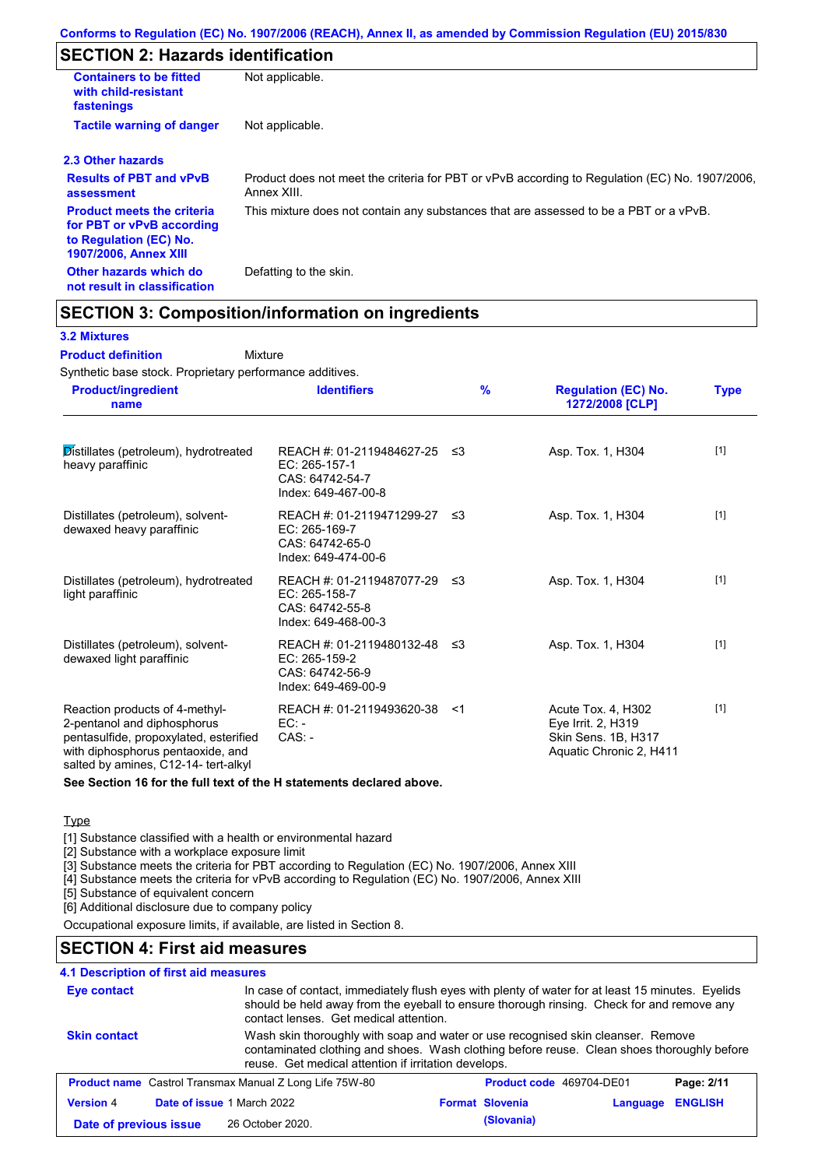# **SECTION 2: Hazards identification**

| <b>Containers to be fitted</b><br>with child-resistant<br>fastenings                                                     | Not applicable.                                                                                               |
|--------------------------------------------------------------------------------------------------------------------------|---------------------------------------------------------------------------------------------------------------|
| <b>Tactile warning of danger</b>                                                                                         | Not applicable.                                                                                               |
| 2.3 Other hazards                                                                                                        |                                                                                                               |
| <b>Results of PBT and vPvB</b><br>assessment                                                                             | Product does not meet the criteria for PBT or vPvB according to Regulation (EC) No. 1907/2006,<br>Annex XIII. |
| <b>Product meets the criteria</b><br>for PBT or vPvB according<br>to Regulation (EC) No.<br><b>1907/2006, Annex XIII</b> | This mixture does not contain any substances that are assessed to be a PBT or a vPvB.                         |
| Other hazards which do<br>not result in classification                                                                   | Defatting to the skin.                                                                                        |

## **SECTION 3: Composition/information on ingredients**

Mixture

### **3.2 Mixtures**

**Product definition**

Synthetic base stock. Proprietary performance additives.

| <b>Product/ingredient</b><br>name                                                                                                                                                    | <b>Identifiers</b>                                                                      | $\frac{9}{6}$ | <b>Regulation (EC) No.</b><br>1272/2008 [CLP]                                              | <b>Type</b> |
|--------------------------------------------------------------------------------------------------------------------------------------------------------------------------------------|-----------------------------------------------------------------------------------------|---------------|--------------------------------------------------------------------------------------------|-------------|
| Distillates (petroleum), hydrotreated<br>heavy paraffinic                                                                                                                            | REACH #: 01-2119484627-25 ≤3<br>EC: 265-157-1<br>CAS: 64742-54-7<br>Index: 649-467-00-8 |               | Asp. Tox. 1, H304                                                                          | $[1]$       |
| Distillates (petroleum), solvent-<br>dewaxed heavy paraffinic                                                                                                                        | REACH #: 01-2119471299-27 ≤3<br>EC: 265-169-7<br>CAS: 64742-65-0<br>Index: 649-474-00-6 |               | Asp. Tox. 1, H304                                                                          | $[1]$       |
| Distillates (petroleum), hydrotreated<br>light paraffinic                                                                                                                            | REACH #: 01-2119487077-29 ≤3<br>EC: 265-158-7<br>CAS: 64742-55-8<br>Index: 649-468-00-3 |               | Asp. Tox. 1, H304                                                                          | $[1]$       |
| Distillates (petroleum), solvent-<br>dewaxed light paraffinic                                                                                                                        | REACH #: 01-2119480132-48 ≤3<br>EC: 265-159-2<br>CAS: 64742-56-9<br>Index: 649-469-00-9 |               | Asp. Tox. 1, H304                                                                          | $[1]$       |
| Reaction products of 4-methyl-<br>2-pentanol and diphosphorus<br>pentasulfide, propoxylated, esterified<br>with diphosphorus pentaoxide, and<br>salted by amines, C12-14- tert-alkyl | REACH #: 01-2119493620-38<br>$EC: -$<br>$CAS. -$                                        | - <1          | Acute Tox. 4, H302<br>Eye Irrit. 2, H319<br>Skin Sens. 1B, H317<br>Aquatic Chronic 2, H411 | $[1]$       |

**See Section 16 for the full text of the H statements declared above.**

#### **Type**

[1] Substance classified with a health or environmental hazard

[2] Substance with a workplace exposure limit

[3] Substance meets the criteria for PBT according to Regulation (EC) No. 1907/2006, Annex XIII

[4] Substance meets the criteria for vPvB according to Regulation (EC) No. 1907/2006, Annex XIII

[5] Substance of equivalent concern

[6] Additional disclosure due to company policy

Occupational exposure limits, if available, are listed in Section 8.

# **SECTION 4: First aid measures**

### **4.1 Description of first aid measures**

| In case of contact, immediately flush eyes with plenty of water for at least 15 minutes. Eyelids<br><b>Eye contact</b><br>should be held away from the eyeball to ensure thorough rinsing. Check for and remove any<br>contact lenses. Get medical attention. |                                                                                                                                                                                                                                        |  |                          |          |                |
|---------------------------------------------------------------------------------------------------------------------------------------------------------------------------------------------------------------------------------------------------------------|----------------------------------------------------------------------------------------------------------------------------------------------------------------------------------------------------------------------------------------|--|--------------------------|----------|----------------|
| <b>Skin contact</b>                                                                                                                                                                                                                                           | Wash skin thoroughly with soap and water or use recognised skin cleanser. Remove<br>contaminated clothing and shoes. Wash clothing before reuse. Clean shoes thoroughly before<br>reuse. Get medical attention if irritation develops. |  |                          |          |                |
|                                                                                                                                                                                                                                                               | <b>Product name</b> Castrol Transmax Manual Z Long Life 75W-80                                                                                                                                                                         |  | Product code 469704-DE01 |          | Page: 2/11     |
| <b>Version 4</b>                                                                                                                                                                                                                                              | Date of issue 1 March 2022                                                                                                                                                                                                             |  | <b>Format Slovenia</b>   | Language | <b>ENGLISH</b> |
| Date of previous issue                                                                                                                                                                                                                                        | 26 October 2020.                                                                                                                                                                                                                       |  | (Slovania)               |          |                |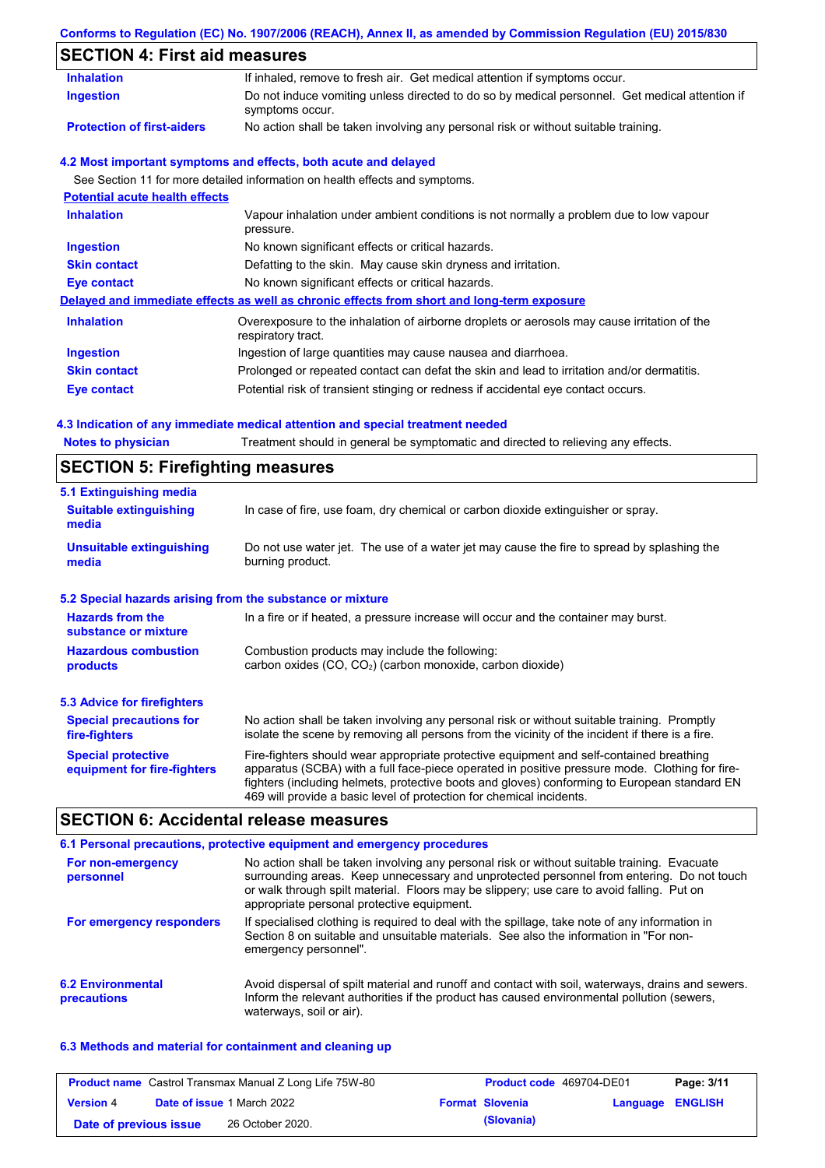## **Conforms to Regulation (EC) No. 1907/2006 (REACH), Annex II, as amended by Commission Regulation (EU) 2015/830**

# **SECTION 4: First aid measures**

| <b>Inhalation</b>                     | If inhaled, remove to fresh air. Get medical attention if symptoms occur.                                         |
|---------------------------------------|-------------------------------------------------------------------------------------------------------------------|
| <b>Ingestion</b>                      | Do not induce vomiting unless directed to do so by medical personnel. Get medical attention if<br>symptoms occur. |
| <b>Protection of first-aiders</b>     | No action shall be taken involving any personal risk or without suitable training.                                |
|                                       | 4.2 Most important symptoms and effects, both acute and delayed                                                   |
|                                       | See Section 11 for more detailed information on health effects and symptoms.                                      |
| <b>Potential acute health effects</b> |                                                                                                                   |
| <b>Inhalation</b>                     | Vapour inhalation under ambient conditions is not normally a problem due to low vapour<br>pressure.               |
| <b>Ingestion</b>                      | No known significant effects or critical hazards.                                                                 |
| <b>Skin contact</b>                   | Defatting to the skin. May cause skin dryness and irritation.                                                     |
| <b>Eye contact</b>                    | No known significant effects or critical hazards.                                                                 |
|                                       | Delayed and immediate effects as well as chronic effects from short and long-term exposure                        |
| <b>Inhalation</b>                     | Overexposure to the inhalation of airborne droplets or aerosols may cause irritation of the<br>respiratory tract. |
| <b>Ingestion</b>                      | Ingestion of large quantities may cause nausea and diarrhoea.                                                     |
| <b>Skin contact</b>                   | Prolonged or repeated contact can defat the skin and lead to irritation and/or dermatitis.                        |
| <b>Eye contact</b>                    | Potential risk of transient stinging or redness if accidental eye contact occurs.                                 |

| <b>Notes to physician</b>               | Treatment should in general be symptomatic and directed to relieving any effects. |
|-----------------------------------------|-----------------------------------------------------------------------------------|
| <b>SECTION 5: Firefighting measures</b> |                                                                                   |

| 5.1 Extinguishing media                                   |                                                                                                                                                                                                                                                                                                                                                                   |
|-----------------------------------------------------------|-------------------------------------------------------------------------------------------------------------------------------------------------------------------------------------------------------------------------------------------------------------------------------------------------------------------------------------------------------------------|
| <b>Suitable extinguishing</b><br>media                    | In case of fire, use foam, dry chemical or carbon dioxide extinguisher or spray.                                                                                                                                                                                                                                                                                  |
| <b>Unsuitable extinguishing</b><br>media                  | Do not use water jet. The use of a water jet may cause the fire to spread by splashing the<br>burning product.                                                                                                                                                                                                                                                    |
| 5.2 Special hazards arising from the substance or mixture |                                                                                                                                                                                                                                                                                                                                                                   |
| <b>Hazards from the</b><br>substance or mixture           | In a fire or if heated, a pressure increase will occur and the container may burst.                                                                                                                                                                                                                                                                               |
| <b>Hazardous combustion</b><br><b>products</b>            | Combustion products may include the following:<br>carbon oxides $(CO, CO2)$ (carbon monoxide, carbon dioxide)                                                                                                                                                                                                                                                     |
| 5.3 Advice for firefighters                               |                                                                                                                                                                                                                                                                                                                                                                   |
| <b>Special precautions for</b><br>fire-fighters           | No action shall be taken involving any personal risk or without suitable training. Promptly<br>isolate the scene by removing all persons from the vicinity of the incident if there is a fire.                                                                                                                                                                    |
| <b>Special protective</b><br>equipment for fire-fighters  | Fire-fighters should wear appropriate protective equipment and self-contained breathing<br>apparatus (SCBA) with a full face-piece operated in positive pressure mode. Clothing for fire-<br>fighters (including helmets, protective boots and gloves) conforming to European standard EN<br>469 will provide a basic level of protection for chemical incidents. |

# **SECTION 6: Accidental release measures**

|                                         | 6.1 Personal precautions, protective equipment and emergency procedures                                                                                                                                                                                                                                                             |
|-----------------------------------------|-------------------------------------------------------------------------------------------------------------------------------------------------------------------------------------------------------------------------------------------------------------------------------------------------------------------------------------|
| For non-emergency<br>personnel          | No action shall be taken involving any personal risk or without suitable training. Evacuate<br>surrounding areas. Keep unnecessary and unprotected personnel from entering. Do not touch<br>or walk through spilt material. Floors may be slippery; use care to avoid falling. Put on<br>appropriate personal protective equipment. |
| For emergency responders                | If specialised clothing is required to deal with the spillage, take note of any information in<br>Section 8 on suitable and unsuitable materials. See also the information in "For non-<br>emergency personnel".                                                                                                                    |
| <b>6.2 Environmental</b><br>precautions | Avoid dispersal of spilt material and runoff and contact with soil, waterways, drains and sewers.<br>Inform the relevant authorities if the product has caused environmental pollution (sewers,<br>waterways, soil or air).                                                                                                         |

## **6.3 Methods and material for containment and cleaning up**

| <b>Product name</b> Castrol Transmax Manual Z Long Life 75W-80 |  | <b>Product code</b> 469704-DE01   |  | Page: 3/11             |                         |  |
|----------------------------------------------------------------|--|-----------------------------------|--|------------------------|-------------------------|--|
| <b>Version 4</b>                                               |  | <b>Date of issue 1 March 2022</b> |  | <b>Format Slovenia</b> | <b>Language ENGLISH</b> |  |
| Date of previous issue                                         |  | 26 October 2020.                  |  | (Slovania)             |                         |  |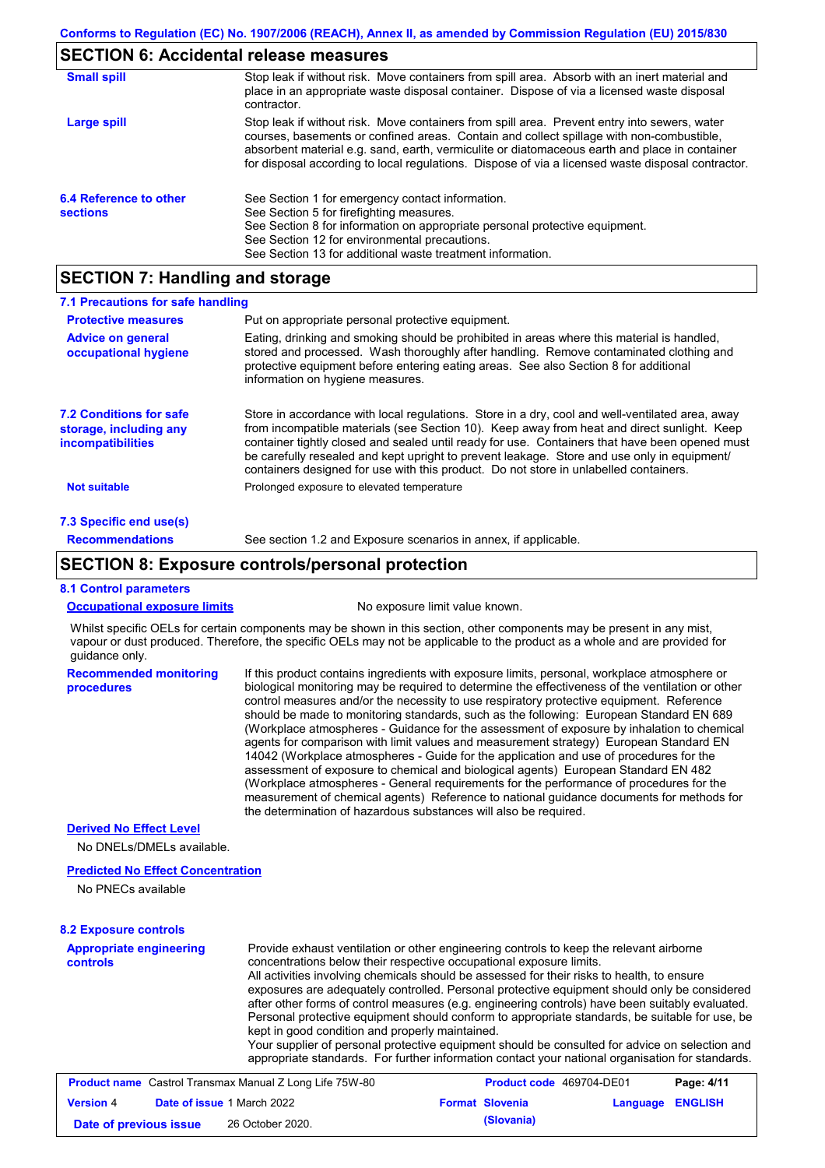## **SECTION 6: Accidental release measures**

| <b>Small spill</b>                        | Stop leak if without risk. Move containers from spill area. Absorb with an inert material and<br>place in an appropriate waste disposal container. Dispose of via a licensed waste disposal<br>contractor.                                                                                                                                                                                     |
|-------------------------------------------|------------------------------------------------------------------------------------------------------------------------------------------------------------------------------------------------------------------------------------------------------------------------------------------------------------------------------------------------------------------------------------------------|
| Large spill                               | Stop leak if without risk. Move containers from spill area. Prevent entry into sewers, water<br>courses, basements or confined areas. Contain and collect spillage with non-combustible,<br>absorbent material e.g. sand, earth, vermiculite or diatomaceous earth and place in container<br>for disposal according to local regulations. Dispose of via a licensed waste disposal contractor. |
| 6.4 Reference to other<br><b>sections</b> | See Section 1 for emergency contact information.<br>See Section 5 for firefighting measures.<br>See Section 8 for information on appropriate personal protective equipment.<br>See Section 12 for environmental precautions.<br>See Section 13 for additional waste treatment information.                                                                                                     |

## **SECTION 7: Handling and storage**

| 7.1 Precautions for safe handling                                                    |                                                                                                                                                                                                                                                                                                                                                                                                                                                                                          |
|--------------------------------------------------------------------------------------|------------------------------------------------------------------------------------------------------------------------------------------------------------------------------------------------------------------------------------------------------------------------------------------------------------------------------------------------------------------------------------------------------------------------------------------------------------------------------------------|
| <b>Protective measures</b>                                                           | Put on appropriate personal protective equipment.                                                                                                                                                                                                                                                                                                                                                                                                                                        |
| <b>Advice on general</b><br>occupational hygiene                                     | Eating, drinking and smoking should be prohibited in areas where this material is handled,<br>stored and processed. Wash thoroughly after handling. Remove contaminated clothing and<br>protective equipment before entering eating areas. See also Section 8 for additional<br>information on hygiene measures.                                                                                                                                                                         |
| <b>7.2 Conditions for safe</b><br>storage, including any<br><i>incompatibilities</i> | Store in accordance with local requlations. Store in a dry, cool and well-ventilated area, away<br>from incompatible materials (see Section 10). Keep away from heat and direct sunlight. Keep<br>container tightly closed and sealed until ready for use. Containers that have been opened must<br>be carefully resealed and kept upright to prevent leakage. Store and use only in equipment/<br>containers designed for use with this product. Do not store in unlabelled containers. |
| <b>Not suitable</b>                                                                  | Prolonged exposure to elevated temperature                                                                                                                                                                                                                                                                                                                                                                                                                                               |
| 7.3 Specific end use(s)                                                              |                                                                                                                                                                                                                                                                                                                                                                                                                                                                                          |
| <b>Recommendations</b>                                                               | See section 1.2 and Exposure scenarios in annex, if applicable.                                                                                                                                                                                                                                                                                                                                                                                                                          |

## **SECTION 8: Exposure controls/personal protection**

#### **8.1 Control parameters**

**procedures**

|--|

No exposure limit value known.

Whilst specific OELs for certain components may be shown in this section, other components may be present in any mist, vapour or dust produced. Therefore, the specific OELs may not be applicable to the product as a whole and are provided for guidance only.

**Recommended monitoring**  If this product contains ingredients with exposure limits, personal, workplace atmosphere or biological monitoring may be required to determine the effectiveness of the ventilation or other control measures and/or the necessity to use respiratory protective equipment. Reference should be made to monitoring standards, such as the following: European Standard EN 689 (Workplace atmospheres - Guidance for the assessment of exposure by inhalation to chemical agents for comparison with limit values and measurement strategy) European Standard EN 14042 (Workplace atmospheres - Guide for the application and use of procedures for the assessment of exposure to chemical and biological agents) European Standard EN 482 (Workplace atmospheres - General requirements for the performance of procedures for the measurement of chemical agents) Reference to national guidance documents for methods for the determination of hazardous substances will also be required.

### **Derived No Effect Level**

No DNELs/DMELs available.

### **Predicted No Effect Concentration**

No PNECs available

#### **8.2 Exposure controls**

| exposures are adequately controlled. Personal protective equipment should only be considered<br>after other forms of control measures (e.g. engineering controls) have been suitably evaluated.<br>Personal protective equipment should conform to appropriate standards, be suitable for use, be<br>kept in good condition and properly maintained.<br>Your supplier of personal protective equipment should be consulted for advice on selection and<br>appropriate standards. For further information contact your national organisation for standards. | <b>Appropriate engineering</b><br><b>controls</b> | Provide exhaust ventilation or other engineering controls to keep the relevant airborne<br>concentrations below their respective occupational exposure limits.<br>All activities involving chemicals should be assessed for their risks to health, to ensure |
|------------------------------------------------------------------------------------------------------------------------------------------------------------------------------------------------------------------------------------------------------------------------------------------------------------------------------------------------------------------------------------------------------------------------------------------------------------------------------------------------------------------------------------------------------------|---------------------------------------------------|--------------------------------------------------------------------------------------------------------------------------------------------------------------------------------------------------------------------------------------------------------------|
|------------------------------------------------------------------------------------------------------------------------------------------------------------------------------------------------------------------------------------------------------------------------------------------------------------------------------------------------------------------------------------------------------------------------------------------------------------------------------------------------------------------------------------------------------------|---------------------------------------------------|--------------------------------------------------------------------------------------------------------------------------------------------------------------------------------------------------------------------------------------------------------------|

| <b>Product name</b> Castrol Transmax Manual Z Long Life 75W-80 |  |                                   | <b>Product code</b> 469704-DE01 | Page: 4/11             |                  |  |
|----------------------------------------------------------------|--|-----------------------------------|---------------------------------|------------------------|------------------|--|
| <b>Version 4</b>                                               |  | <b>Date of issue 1 March 2022</b> |                                 | <b>Format Slovenia</b> | Language ENGLISH |  |
| Date of previous issue                                         |  | 26 October 2020.                  |                                 | (Slovania)             |                  |  |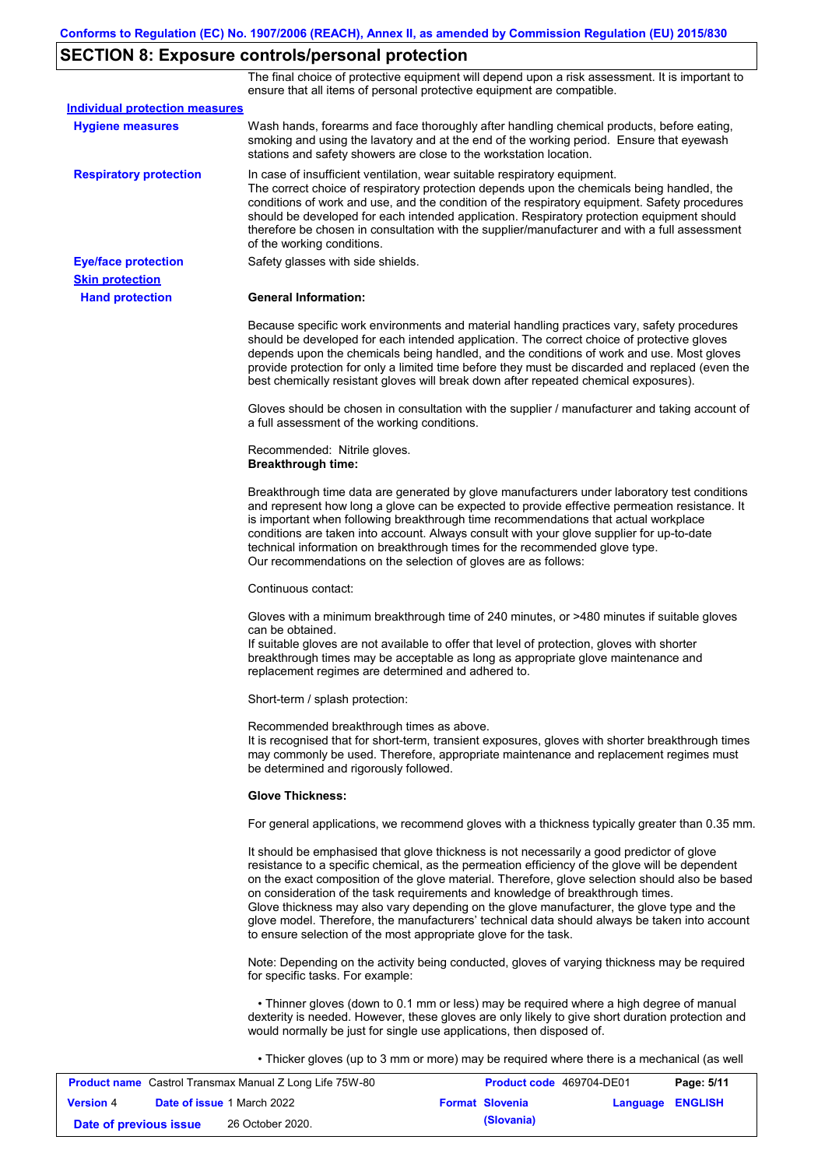# **SECTION 8: Exposure controls/personal protection**

The final choice of protective equipment will depend upon a risk assessment. It is important to ensure that all items of personal protective equipment are compatible.

| <b>Individual protection measures</b> |                                                                                                                                                                                                                                                                                                                                                                                                                                                                                                                                                                                                                                                   |
|---------------------------------------|---------------------------------------------------------------------------------------------------------------------------------------------------------------------------------------------------------------------------------------------------------------------------------------------------------------------------------------------------------------------------------------------------------------------------------------------------------------------------------------------------------------------------------------------------------------------------------------------------------------------------------------------------|
| <b>Hygiene measures</b>               | Wash hands, forearms and face thoroughly after handling chemical products, before eating,<br>smoking and using the lavatory and at the end of the working period. Ensure that eyewash<br>stations and safety showers are close to the workstation location.                                                                                                                                                                                                                                                                                                                                                                                       |
| <b>Respiratory protection</b>         | In case of insufficient ventilation, wear suitable respiratory equipment.<br>The correct choice of respiratory protection depends upon the chemicals being handled, the<br>conditions of work and use, and the condition of the respiratory equipment. Safety procedures<br>should be developed for each intended application. Respiratory protection equipment should<br>therefore be chosen in consultation with the supplier/manufacturer and with a full assessment<br>of the working conditions.                                                                                                                                             |
| <b>Eye/face protection</b>            | Safety glasses with side shields.                                                                                                                                                                                                                                                                                                                                                                                                                                                                                                                                                                                                                 |
| <b>Skin protection</b>                |                                                                                                                                                                                                                                                                                                                                                                                                                                                                                                                                                                                                                                                   |
| <b>Hand protection</b>                | <b>General Information:</b>                                                                                                                                                                                                                                                                                                                                                                                                                                                                                                                                                                                                                       |
|                                       | Because specific work environments and material handling practices vary, safety procedures<br>should be developed for each intended application. The correct choice of protective gloves<br>depends upon the chemicals being handled, and the conditions of work and use. Most gloves<br>provide protection for only a limited time before they must be discarded and replaced (even the<br>best chemically resistant gloves will break down after repeated chemical exposures).                                                                                                                                                                  |
|                                       | Gloves should be chosen in consultation with the supplier / manufacturer and taking account of<br>a full assessment of the working conditions.                                                                                                                                                                                                                                                                                                                                                                                                                                                                                                    |
|                                       | Recommended: Nitrile gloves.<br><b>Breakthrough time:</b>                                                                                                                                                                                                                                                                                                                                                                                                                                                                                                                                                                                         |
|                                       | Breakthrough time data are generated by glove manufacturers under laboratory test conditions<br>and represent how long a glove can be expected to provide effective permeation resistance. It<br>is important when following breakthrough time recommendations that actual workplace<br>conditions are taken into account. Always consult with your glove supplier for up-to-date<br>technical information on breakthrough times for the recommended glove type.<br>Our recommendations on the selection of gloves are as follows:                                                                                                                |
|                                       | Continuous contact:                                                                                                                                                                                                                                                                                                                                                                                                                                                                                                                                                                                                                               |
|                                       | Gloves with a minimum breakthrough time of 240 minutes, or >480 minutes if suitable gloves<br>can be obtained.<br>If suitable gloves are not available to offer that level of protection, gloves with shorter<br>breakthrough times may be acceptable as long as appropriate glove maintenance and<br>replacement regimes are determined and adhered to.                                                                                                                                                                                                                                                                                          |
|                                       | Short-term / splash protection:                                                                                                                                                                                                                                                                                                                                                                                                                                                                                                                                                                                                                   |
|                                       | Recommended breakthrough times as above.<br>It is recognised that for short-term, transient exposures, gloves with shorter breakthrough times<br>may commonly be used. Therefore, appropriate maintenance and replacement regimes must<br>be determined and rigorously followed.                                                                                                                                                                                                                                                                                                                                                                  |
|                                       | <b>Glove Thickness:</b>                                                                                                                                                                                                                                                                                                                                                                                                                                                                                                                                                                                                                           |
|                                       | For general applications, we recommend gloves with a thickness typically greater than 0.35 mm.                                                                                                                                                                                                                                                                                                                                                                                                                                                                                                                                                    |
|                                       | It should be emphasised that glove thickness is not necessarily a good predictor of glove<br>resistance to a specific chemical, as the permeation efficiency of the glove will be dependent<br>on the exact composition of the glove material. Therefore, glove selection should also be based<br>on consideration of the task requirements and knowledge of breakthrough times.<br>Glove thickness may also vary depending on the glove manufacturer, the glove type and the<br>glove model. Therefore, the manufacturers' technical data should always be taken into account<br>to ensure selection of the most appropriate glove for the task. |
|                                       | Note: Depending on the activity being conducted, gloves of varying thickness may be required<br>for specific tasks. For example:                                                                                                                                                                                                                                                                                                                                                                                                                                                                                                                  |
|                                       | • Thinner gloves (down to 0.1 mm or less) may be required where a high degree of manual<br>dexterity is needed. However, these gloves are only likely to give short duration protection and<br>would normally be just for single use applications, then disposed of.                                                                                                                                                                                                                                                                                                                                                                              |
|                                       | • Thicker gloves (up to 3 mm or more) may be required where there is a mechanical (as well                                                                                                                                                                                                                                                                                                                                                                                                                                                                                                                                                        |

| <b>Product name</b> Castrol Transmax Manual Z Long Life 75W-80 |  |                                   | <b>Product code</b> 469704-DE01 |                        | Page: 5/11              |  |
|----------------------------------------------------------------|--|-----------------------------------|---------------------------------|------------------------|-------------------------|--|
| <b>Version 4</b>                                               |  | <b>Date of issue 1 March 2022</b> |                                 | <b>Format Slovenia</b> | <b>Language ENGLISH</b> |  |
| Date of previous issue                                         |  | 26 October 2020.                  |                                 | (Slovania)             |                         |  |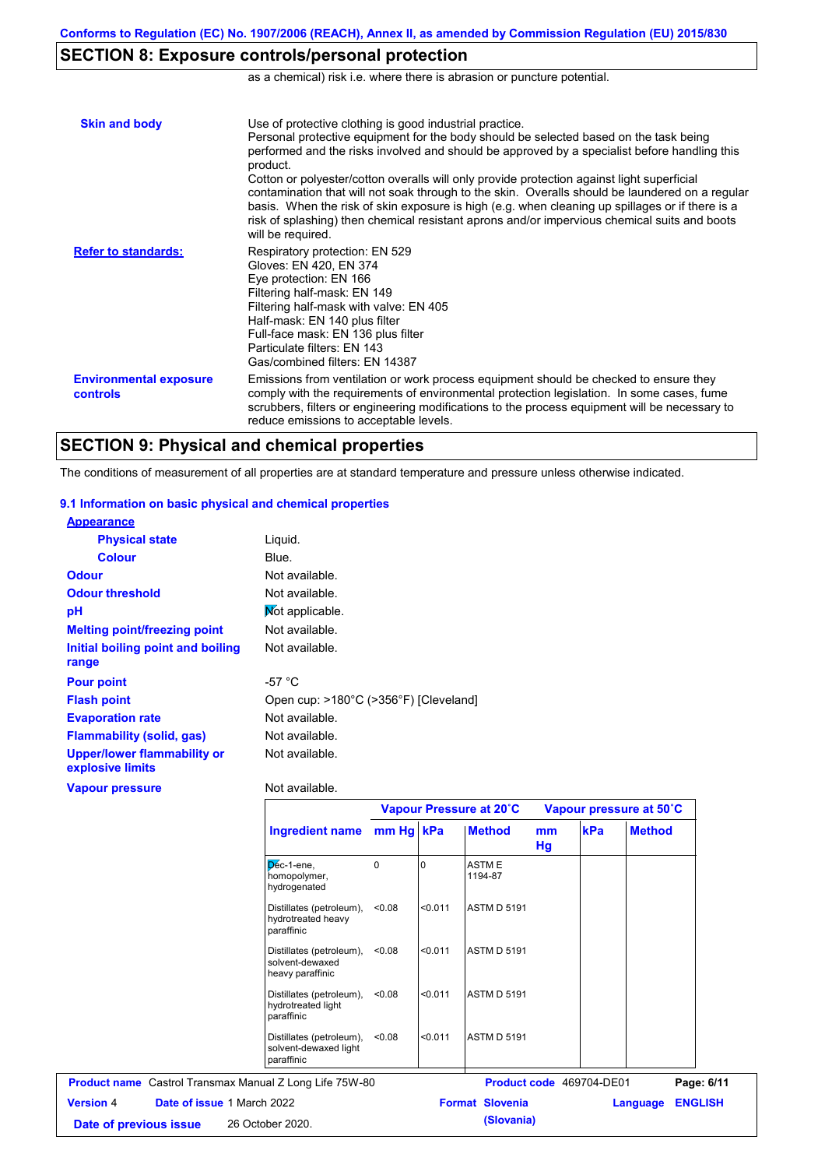# **SECTION 8: Exposure controls/personal protection**

as a chemical) risk i.e. where there is abrasion or puncture potential.

| <b>Skin and body</b>                             | Use of protective clothing is good industrial practice.<br>Personal protective equipment for the body should be selected based on the task being<br>performed and the risks involved and should be approved by a specialist before handling this<br>product.<br>Cotton or polyester/cotton overalls will only provide protection against light superficial<br>contamination that will not soak through to the skin. Overalls should be laundered on a regular<br>basis. When the risk of skin exposure is high (e.g. when cleaning up spillages or if there is a<br>risk of splashing) then chemical resistant aprons and/or impervious chemical suits and boots<br>will be required. |
|--------------------------------------------------|---------------------------------------------------------------------------------------------------------------------------------------------------------------------------------------------------------------------------------------------------------------------------------------------------------------------------------------------------------------------------------------------------------------------------------------------------------------------------------------------------------------------------------------------------------------------------------------------------------------------------------------------------------------------------------------|
| <b>Refer to standards:</b>                       | Respiratory protection: EN 529<br>Gloves: EN 420, EN 374<br>Eye protection: EN 166<br>Filtering half-mask: EN 149<br>Filtering half-mask with valve: EN 405<br>Half-mask: EN 140 plus filter<br>Full-face mask: EN 136 plus filter<br>Particulate filters: FN 143<br>Gas/combined filters: EN 14387                                                                                                                                                                                                                                                                                                                                                                                   |
| <b>Environmental exposure</b><br><b>controls</b> | Emissions from ventilation or work process equipment should be checked to ensure they<br>comply with the requirements of environmental protection legislation. In some cases, fume<br>scrubbers, filters or engineering modifications to the process equipment will be necessary to<br>reduce emissions to acceptable levels.                                                                                                                                                                                                                                                                                                                                                         |

## **SECTION 9: Physical and chemical properties**

The conditions of measurement of all properties are at standard temperature and pressure unless otherwise indicated.

### **9.1 Information on basic physical and chemical properties**

| <b>Appearance</b>                                      |                                       |
|--------------------------------------------------------|---------------------------------------|
| <b>Physical state</b>                                  | Liguid.                               |
| <b>Colour</b>                                          | Blue.                                 |
| <b>Odour</b>                                           | Not available.                        |
| <b>Odour threshold</b>                                 | Not available.                        |
| рH                                                     | Mot applicable.                       |
| <b>Melting point/freezing point</b>                    | Not available.                        |
| Initial boiling point and boiling                      | Not available.                        |
| range                                                  |                                       |
| <b>Pour point</b>                                      | -57 $^{\circ}$ C                      |
| <b>Flash point</b>                                     | Open cup: >180°C (>356°F) [Cleveland] |
| <b>Evaporation rate</b>                                | Not available.                        |
| <b>Flammability (solid, gas)</b>                       | Not available.                        |
| <b>Upper/lower flammability or</b><br>explosive limits | Not available.                        |
| <b>Vapour pressure</b>                                 | Not available.                        |

**Date of previous issue (Slovania)** 26 October 2020.

|                  |                                                                | <b>Ingredient name</b>                                          | Vapour Pressure at 20°C |         |                          | Vapour pressure at 50°C |     |               |                |
|------------------|----------------------------------------------------------------|-----------------------------------------------------------------|-------------------------|---------|--------------------------|-------------------------|-----|---------------|----------------|
|                  |                                                                |                                                                 | mm Hg kPa               |         | <b>Method</b>            | <sub>mm</sub><br>Hg     | kPa | <b>Method</b> |                |
|                  |                                                                | $D6c-1$ -ene,<br>homopolymer,<br>hydrogenated                   | 0                       | ın      | <b>ASTME</b><br>1194-87  |                         |     |               |                |
|                  |                                                                | Distillates (petroleum),<br>hydrotreated heavy<br>paraffinic    | < 0.08                  | < 0.011 | <b>ASTM D 5191</b>       |                         |     |               |                |
|                  |                                                                | Distillates (petroleum),<br>solvent-dewaxed<br>heavy paraffinic | < 0.08                  | < 0.011 | <b>ASTM D 5191</b>       |                         |     |               |                |
|                  |                                                                | Distillates (petroleum),<br>hydrotreated light<br>paraffinic    | < 0.08                  | < 0.011 | <b>ASTM D 5191</b>       |                         |     |               |                |
|                  |                                                                | Distillates (petroleum),<br>solvent-dewaxed light<br>paraffinic | < 0.08                  | < 0.011 | <b>ASTM D 5191</b>       |                         |     |               |                |
|                  | <b>Product name</b> Castrol Transmax Manual Z Long Life 75W-80 |                                                                 |                         |         | Product code 469704-DE01 |                         |     |               | Page: 6/11     |
| <b>Version 4</b> | Date of issue 1 March 2022                                     |                                                                 |                         |         | <b>Format Slovenia</b>   |                         |     | Language      | <b>ENGLISH</b> |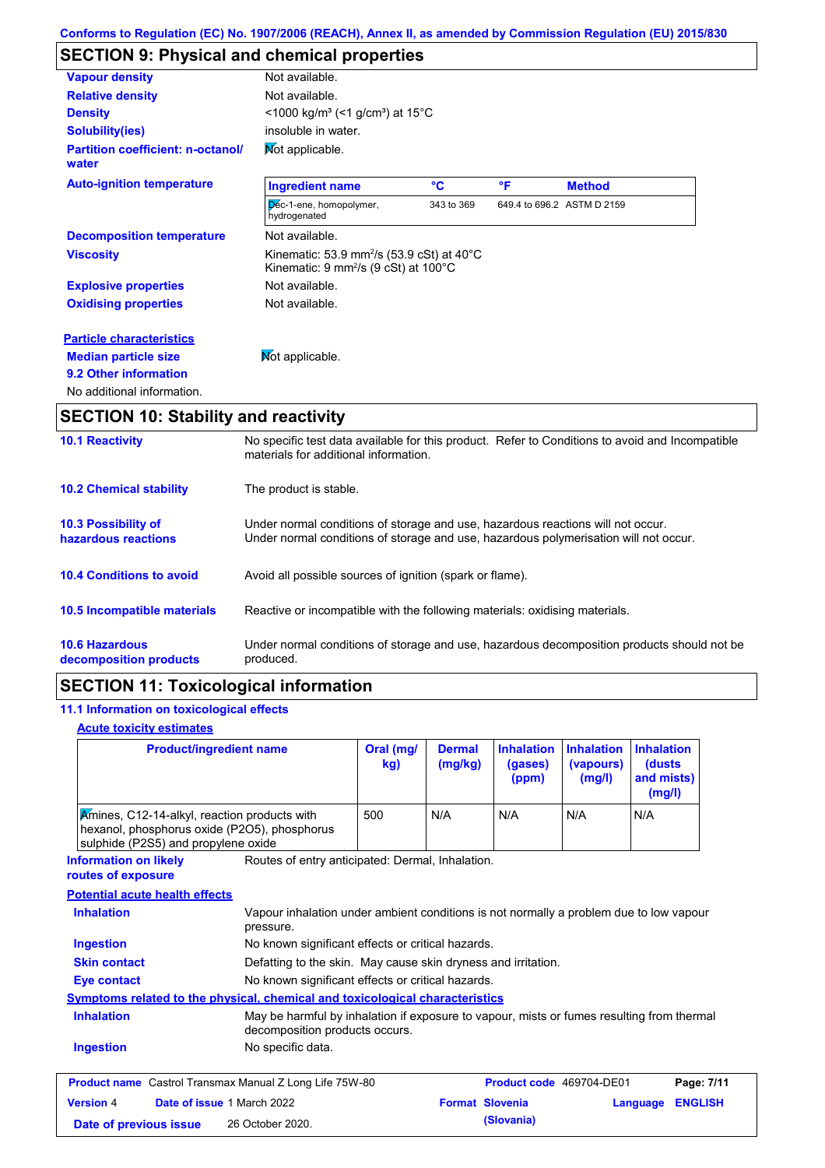# **SECTION 9: Physical and chemical properties**

| <b>Vapour density</b>                             | Not available.                                                                                                                       |            |    |                            |
|---------------------------------------------------|--------------------------------------------------------------------------------------------------------------------------------------|------------|----|----------------------------|
| <b>Relative density</b>                           | Not available.                                                                                                                       |            |    |                            |
| <b>Density</b>                                    | $<$ 1000 kg/m <sup>3</sup> (<1 g/cm <sup>3</sup> ) at 15 <sup>°</sup> C                                                              |            |    |                            |
| <b>Solubility(ies)</b>                            | insoluble in water.                                                                                                                  |            |    |                            |
| <b>Partition coefficient: n-octanol/</b><br>water | Mot applicable.                                                                                                                      |            |    |                            |
| <b>Auto-ignition temperature</b>                  | <b>Ingredient name</b>                                                                                                               | °€         | °F | <b>Method</b>              |
|                                                   | Dec-1-ene, homopolymer,<br>hydrogenated                                                                                              | 343 to 369 |    | 649.4 to 696.2 ASTM D 2159 |
| <b>Decomposition temperature</b>                  | Not available.                                                                                                                       |            |    |                            |
| <b>Viscosity</b>                                  | Kinematic: 53.9 mm <sup>2</sup> /s (53.9 cSt) at 40 $^{\circ}$ C<br>Kinematic: $9 \text{ mm}^2\text{/s}$ (9 cSt) at 100 $^{\circ}$ C |            |    |                            |
| <b>Explosive properties</b>                       | Not available.                                                                                                                       |            |    |                            |
| <b>Oxidising properties</b>                       | Not available.                                                                                                                       |            |    |                            |
| <b>Particle characteristics</b>                   |                                                                                                                                      |            |    |                            |
| <b>Median particle size</b>                       | Not applicable.                                                                                                                      |            |    |                            |
| 9.2 Other information                             |                                                                                                                                      |            |    |                            |
| No additional information.                        |                                                                                                                                      |            |    |                            |

# **SECTION 10: Stability and reactivity**

| <b>10.1 Reactivity</b>                            | No specific test data available for this product. Refer to Conditions to avoid and Incompatible<br>materials for additional information.                                |
|---------------------------------------------------|-------------------------------------------------------------------------------------------------------------------------------------------------------------------------|
| <b>10.2 Chemical stability</b>                    | The product is stable.                                                                                                                                                  |
| <b>10.3 Possibility of</b><br>hazardous reactions | Under normal conditions of storage and use, hazardous reactions will not occur.<br>Under normal conditions of storage and use, hazardous polymerisation will not occur. |
| <b>10.4 Conditions to avoid</b>                   | Avoid all possible sources of ignition (spark or flame).                                                                                                                |
| <b>10.5 Incompatible materials</b>                | Reactive or incompatible with the following materials: oxidising materials.                                                                                             |
| <b>10.6 Hazardous</b><br>decomposition products   | Under normal conditions of storage and use, hazardous decomposition products should not be<br>produced.                                                                 |

# **SECTION 11: Toxicological information**

## **11.1 Information on toxicological effects**

### **Acute toxicity estimates**

| <b>Product/ingredient name</b><br>Amines, C12-14-alkyl, reaction products with<br>hexanol, phosphorus oxide (P2O5), phosphorus<br>sulphide (P2S5) and propylene oxide |                                                                                                                             | Oral (mg/<br>kg) | <b>Dermal</b><br>(mg/kg) | <b>Inhalation</b><br>(gases)<br>(ppm) | <b>Inhalation</b><br>(vapours)<br>(mg/l) | <b>Inhalation</b><br>(dusts)<br>and mists)<br>(mg/l) |                |
|-----------------------------------------------------------------------------------------------------------------------------------------------------------------------|-----------------------------------------------------------------------------------------------------------------------------|------------------|--------------------------|---------------------------------------|------------------------------------------|------------------------------------------------------|----------------|
|                                                                                                                                                                       |                                                                                                                             | 500              | N/A                      | N/A                                   | N/A                                      | N/A                                                  |                |
| Routes of entry anticipated: Dermal, Inhalation.<br><b>Information on likely</b><br>routes of exposure                                                                |                                                                                                                             |                  |                          |                                       |                                          |                                                      |                |
| <b>Potential acute health effects</b>                                                                                                                                 |                                                                                                                             |                  |                          |                                       |                                          |                                                      |                |
| <b>Inhalation</b><br>Vapour inhalation under ambient conditions is not normally a problem due to low vapour<br>pressure.                                              |                                                                                                                             |                  |                          |                                       |                                          |                                                      |                |
| <b>Ingestion</b><br>No known significant effects or critical hazards.                                                                                                 |                                                                                                                             |                  |                          |                                       |                                          |                                                      |                |
| <b>Skin contact</b><br>Defatting to the skin. May cause skin dryness and irritation.                                                                                  |                                                                                                                             |                  |                          |                                       |                                          |                                                      |                |
| No known significant effects or critical hazards.<br>Eye contact                                                                                                      |                                                                                                                             |                  |                          |                                       |                                          |                                                      |                |
| <b>Symptoms related to the physical, chemical and toxicological characteristics</b>                                                                                   |                                                                                                                             |                  |                          |                                       |                                          |                                                      |                |
| <b>Inhalation</b>                                                                                                                                                     | May be harmful by inhalation if exposure to vapour, mists or fumes resulting from thermal<br>decomposition products occurs. |                  |                          |                                       |                                          |                                                      |                |
| <b>Ingestion</b>                                                                                                                                                      | No specific data.                                                                                                           |                  |                          |                                       |                                          |                                                      |                |
| <b>Product name</b> Castrol Transmax Manual Z Long Life 75W-80                                                                                                        |                                                                                                                             |                  |                          | Product code 469704-DE01              |                                          |                                                      | Page: 7/11     |
| <b>Version 4</b><br>Date of issue 1 March 2022                                                                                                                        |                                                                                                                             |                  |                          | <b>Format Slovenia</b>                | Language                                 |                                                      | <b>ENGLISH</b> |
| Date of previous issue                                                                                                                                                | 26 October 2020.                                                                                                            |                  |                          | (Slovania)                            |                                          |                                                      |                |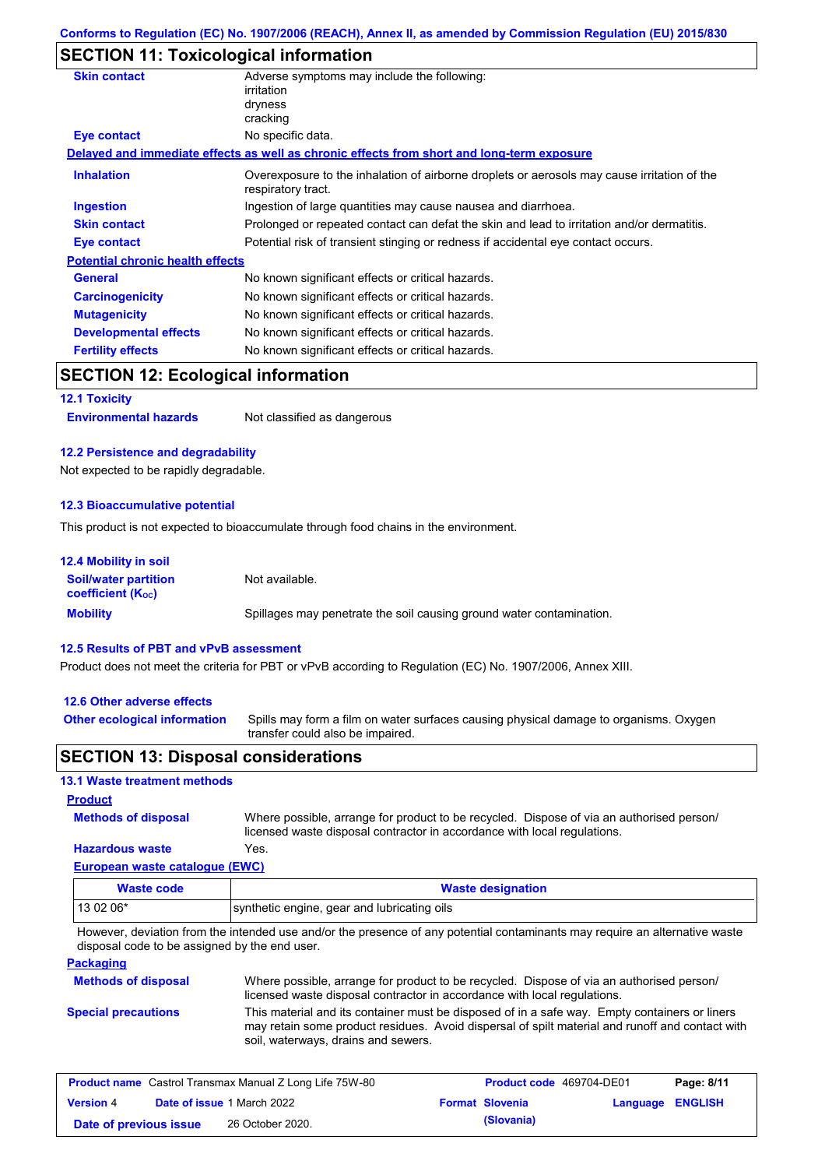## **SECTION 11: Toxicological information**

| <b>Skin contact</b>                     | Adverse symptoms may include the following:<br>irritation                                                         |  |
|-----------------------------------------|-------------------------------------------------------------------------------------------------------------------|--|
|                                         | dryness                                                                                                           |  |
|                                         | cracking                                                                                                          |  |
| <b>Eye contact</b>                      | No specific data.                                                                                                 |  |
|                                         | Delayed and immediate effects as well as chronic effects from short and long-term exposure                        |  |
| <b>Inhalation</b>                       | Overexposure to the inhalation of airborne droplets or aerosols may cause irritation of the<br>respiratory tract. |  |
| <b>Ingestion</b>                        | Ingestion of large quantities may cause nausea and diarrhoea.                                                     |  |
| <b>Skin contact</b>                     | Prolonged or repeated contact can defat the skin and lead to irritation and/or dermatitis.                        |  |
| Eye contact                             | Potential risk of transient stinging or redness if accidental eye contact occurs.                                 |  |
| <b>Potential chronic health effects</b> |                                                                                                                   |  |
| <b>General</b>                          | No known significant effects or critical hazards.                                                                 |  |
| <b>Carcinogenicity</b>                  | No known significant effects or critical hazards.                                                                 |  |
| <b>Mutagenicity</b>                     | No known significant effects or critical hazards.                                                                 |  |
| <b>Developmental effects</b>            | No known significant effects or critical hazards.                                                                 |  |
| <b>Fertility effects</b>                | No known significant effects or critical hazards.                                                                 |  |
| CECTION 12: Ecological information      |                                                                                                                   |  |

## **SECTION 12: Ecological information**

**12.1 Toxicity**

**Environmental hazards** Not classified as dangerous

### **12.2 Persistence and degradability**

Not expected to be rapidly degradable.

#### **12.3 Bioaccumulative potential**

This product is not expected to bioaccumulate through food chains in the environment.

| <b>12.4 Mobility in soil</b>                                  |                                                                      |
|---------------------------------------------------------------|----------------------------------------------------------------------|
| <b>Soil/water partition</b><br>coefficient (K <sub>oc</sub> ) | Not available.                                                       |
| <b>Mobility</b>                                               | Spillages may penetrate the soil causing ground water contamination. |

#### **12.5 Results of PBT and vPvB assessment**

Product does not meet the criteria for PBT or vPvB according to Regulation (EC) No. 1907/2006, Annex XIII.

#### **12.6 Other adverse effects**

**Other ecological information**

Spills may form a film on water surfaces causing physical damage to organisms. Oxygen transfer could also be impaired.

### **SECTION 13: Disposal considerations**

### **13.1 Waste treatment methods**

**Product**

Where possible, arrange for product to be recycled. Dispose of via an authorised person/ licensed waste disposal contractor in accordance with local regulations.

#### **Hazardous waste** Yes.

**Methods of disposal**

**European waste catalogue (EWC)**

| Waste code | <b>Waste designation</b>                    |  |
|------------|---------------------------------------------|--|
| $130206*$  | synthetic engine, gear and lubricating oils |  |

However, deviation from the intended use and/or the presence of any potential contaminants may require an alternative waste disposal code to be assigned by the end user.

### **Packaging**

| <b>Methods of disposal</b> | Where possible, arrange for product to be recycled. Dispose of via an authorised person/<br>licensed waste disposal contractor in accordance with local regulations.                                                                    |
|----------------------------|-----------------------------------------------------------------------------------------------------------------------------------------------------------------------------------------------------------------------------------------|
| <b>Special precautions</b> | This material and its container must be disposed of in a safe way. Empty containers or liners<br>may retain some product residues. Avoid dispersal of spilt material and runoff and contact with<br>soil, waterways, drains and sewers. |

| <b>Product name</b> Castrol Transmax Manual Z Long Life 75W-80 |  |                                   | <b>Product code</b> 469704-DE01 |                        | Page: 8/11              |  |
|----------------------------------------------------------------|--|-----------------------------------|---------------------------------|------------------------|-------------------------|--|
| <b>Version 4</b>                                               |  | <b>Date of issue 1 March 2022</b> |                                 | <b>Format Slovenia</b> | <b>Language ENGLISH</b> |  |
| Date of previous issue                                         |  | 26 October 2020.                  |                                 | (Slovania)             |                         |  |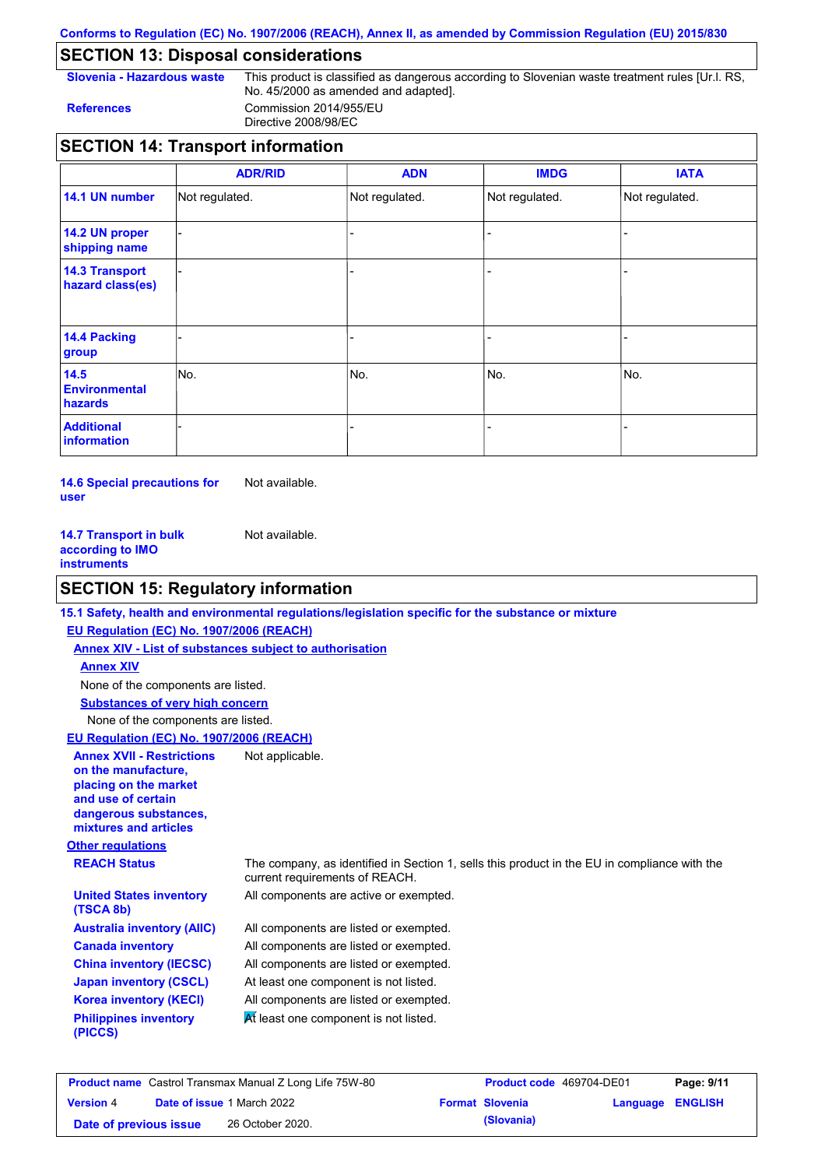### **Conforms to Regulation (EC) No. 1907/2006 (REACH), Annex II, as amended by Commission Regulation (EU) 2015/830**

# **SECTION 13: Disposal considerations**

**Slovenia - Hazardous waste** This product is classified as dangerous according to Slovenian waste treatment rules [Ur.l. RS, No. 45/2000 as amended and adapted]. **References** Commission 2014/955/EU Directive 2008/98/EC

# **SECTION 14: Transport information**

|                                           | <b>ADR/RID</b> | <b>ADN</b>     | <b>IMDG</b>    | <b>IATA</b>    |
|-------------------------------------------|----------------|----------------|----------------|----------------|
| 14.1 UN number                            | Not regulated. | Not regulated. | Not regulated. | Not regulated. |
| 14.2 UN proper<br>shipping name           |                |                |                |                |
| <b>14.3 Transport</b><br>hazard class(es) |                |                |                |                |
| 14.4 Packing<br>group                     |                |                |                |                |
| 14.5<br><b>Environmental</b><br>hazards   | No.            | No.            | No.            | No.            |
| <b>Additional</b><br>information          |                |                |                |                |

**14.6 Special precautions for user** Not available.

**14.7 Transport in bulk according to IMO instruments** Not available.

# **SECTION 15: Regulatory information**

|                                                                                                                                                          | 15.1 Safety, health and environmental regulations/legislation specific for the substance or mixture                            |
|----------------------------------------------------------------------------------------------------------------------------------------------------------|--------------------------------------------------------------------------------------------------------------------------------|
| EU Regulation (EC) No. 1907/2006 (REACH)                                                                                                                 |                                                                                                                                |
| <b>Annex XIV - List of substances subject to authorisation</b>                                                                                           |                                                                                                                                |
| <b>Annex XIV</b>                                                                                                                                         |                                                                                                                                |
| None of the components are listed.                                                                                                                       |                                                                                                                                |
| <b>Substances of very high concern</b>                                                                                                                   |                                                                                                                                |
| None of the components are listed.                                                                                                                       |                                                                                                                                |
| EU Regulation (EC) No. 1907/2006 (REACH)                                                                                                                 |                                                                                                                                |
| <b>Annex XVII - Restrictions</b><br>on the manufacture.<br>placing on the market<br>and use of certain<br>dangerous substances,<br>mixtures and articles | Not applicable.                                                                                                                |
| <b>Other regulations</b>                                                                                                                                 |                                                                                                                                |
| <b>REACH Status</b>                                                                                                                                      | The company, as identified in Section 1, sells this product in the EU in compliance with the<br>current requirements of REACH. |
| <b>United States inventory</b><br>(TSCA 8b)                                                                                                              | All components are active or exempted.                                                                                         |
| <b>Australia inventory (AIIC)</b>                                                                                                                        | All components are listed or exempted.                                                                                         |
| <b>Canada inventory</b>                                                                                                                                  | All components are listed or exempted.                                                                                         |
| <b>China inventory (IECSC)</b>                                                                                                                           | All components are listed or exempted.                                                                                         |
| <b>Japan inventory (CSCL)</b>                                                                                                                            | At least one component is not listed.                                                                                          |
| <b>Korea inventory (KECI)</b>                                                                                                                            | All components are listed or exempted.                                                                                         |
| <b>Philippines inventory</b><br>(PICCS)                                                                                                                  | At least one component is not listed.                                                                                          |
|                                                                                                                                                          |                                                                                                                                |

| <b>Product name</b> Castrol Transmax Manual Z Long Life 75W-80 |  | <b>Product code</b> 469704-DE01   |  | Page: 9/11             |                         |  |
|----------------------------------------------------------------|--|-----------------------------------|--|------------------------|-------------------------|--|
| <b>Version</b> 4                                               |  | <b>Date of issue 1 March 2022</b> |  | <b>Format Slovenia</b> | <b>Language ENGLISH</b> |  |
| Date of previous issue                                         |  | 26 October 2020.                  |  | (Slovania)             |                         |  |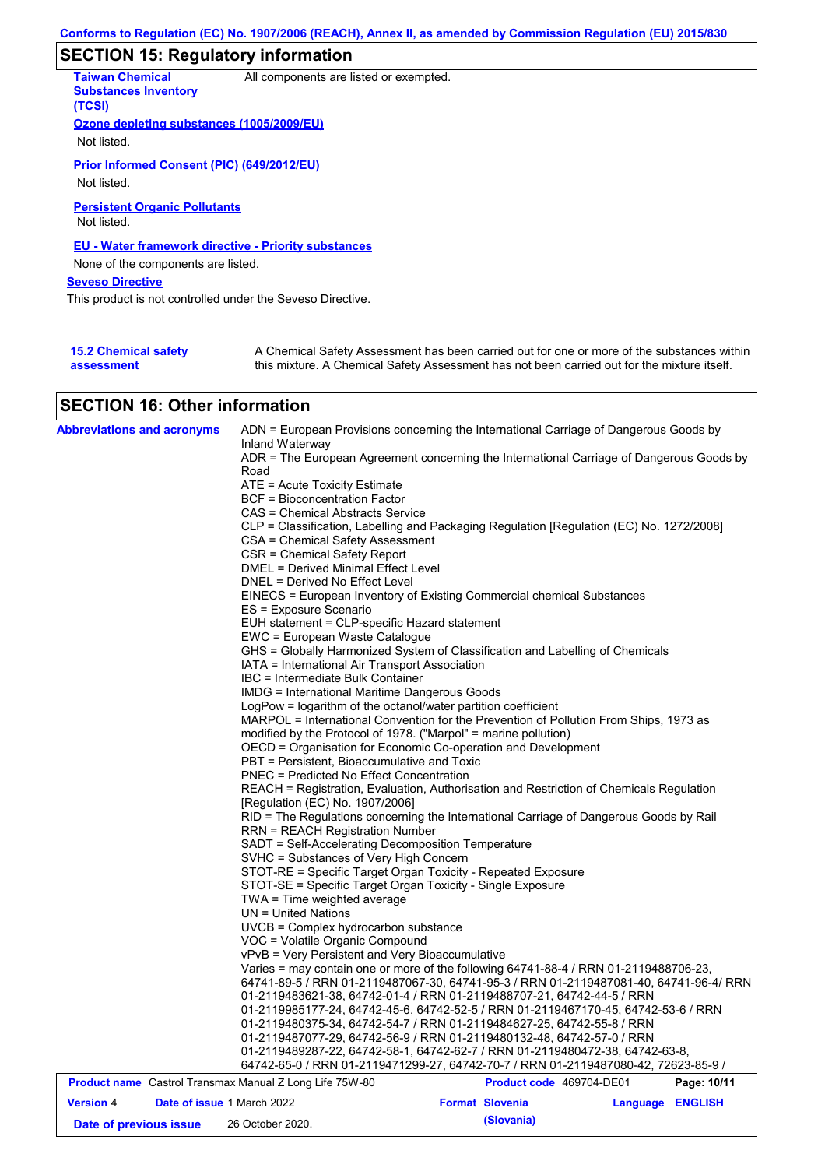# **SECTION 15: Regulatory information**

| <b>Taiwan Chemical</b><br><b>Substances Inventory</b><br>(TCSI)                                   | All components are listed or exempted.                                                     |
|---------------------------------------------------------------------------------------------------|--------------------------------------------------------------------------------------------|
| Ozone depleting substances (1005/2009/EU)<br>Not listed.                                          |                                                                                            |
| Prior Informed Consent (PIC) (649/2012/EU)<br>Not listed.                                         |                                                                                            |
| <b>Persistent Organic Pollutants</b><br>Not listed.                                               |                                                                                            |
| <b>EU - Water framework directive - Priority substances</b><br>None of the components are listed. |                                                                                            |
| <b>Seveso Directive</b>                                                                           |                                                                                            |
| This product is not controlled under the Seveso Directive.                                        |                                                                                            |
| <b>15.2 Chemical safety</b>                                                                       | A Chemical Safety Assessment has been carried out for one or more of the substances within |

#### **assessment** this mixture. A Chemical Safety Assessment has not been carried out for the mixture itself.

# **SECTION 16: Other information**

| <b>Abbreviations and acronyms</b>                              | ADN = European Provisions concerning the International Carriage of Dangerous Goods by                                                                                                                                               |  |  |  |  |  |
|----------------------------------------------------------------|-------------------------------------------------------------------------------------------------------------------------------------------------------------------------------------------------------------------------------------|--|--|--|--|--|
|                                                                | Inland Waterway                                                                                                                                                                                                                     |  |  |  |  |  |
|                                                                | ADR = The European Agreement concerning the International Carriage of Dangerous Goods by<br>Road<br>ATE = Acute Toxicity Estimate                                                                                                   |  |  |  |  |  |
|                                                                |                                                                                                                                                                                                                                     |  |  |  |  |  |
|                                                                |                                                                                                                                                                                                                                     |  |  |  |  |  |
|                                                                | <b>BCF</b> = Bioconcentration Factor                                                                                                                                                                                                |  |  |  |  |  |
|                                                                | CAS = Chemical Abstracts Service                                                                                                                                                                                                    |  |  |  |  |  |
|                                                                | CLP = Classification, Labelling and Packaging Regulation [Regulation (EC) No. 1272/2008]                                                                                                                                            |  |  |  |  |  |
|                                                                | CSA = Chemical Safety Assessment                                                                                                                                                                                                    |  |  |  |  |  |
|                                                                | CSR = Chemical Safety Report                                                                                                                                                                                                        |  |  |  |  |  |
|                                                                | DMEL = Derived Minimal Effect Level                                                                                                                                                                                                 |  |  |  |  |  |
|                                                                | DNEL = Derived No Effect Level                                                                                                                                                                                                      |  |  |  |  |  |
|                                                                | EINECS = European Inventory of Existing Commercial chemical Substances                                                                                                                                                              |  |  |  |  |  |
|                                                                | ES = Exposure Scenario<br>EUH statement = CLP-specific Hazard statement                                                                                                                                                             |  |  |  |  |  |
|                                                                |                                                                                                                                                                                                                                     |  |  |  |  |  |
|                                                                | EWC = European Waste Catalogue                                                                                                                                                                                                      |  |  |  |  |  |
|                                                                | GHS = Globally Harmonized System of Classification and Labelling of Chemicals                                                                                                                                                       |  |  |  |  |  |
|                                                                | IATA = International Air Transport Association                                                                                                                                                                                      |  |  |  |  |  |
|                                                                | IBC = Intermediate Bulk Container                                                                                                                                                                                                   |  |  |  |  |  |
|                                                                | <b>IMDG = International Maritime Dangerous Goods</b>                                                                                                                                                                                |  |  |  |  |  |
|                                                                | LogPow = logarithm of the octanol/water partition coefficient                                                                                                                                                                       |  |  |  |  |  |
|                                                                | MARPOL = International Convention for the Prevention of Pollution From Ships, 1973 as                                                                                                                                               |  |  |  |  |  |
|                                                                | modified by the Protocol of 1978. ("Marpol" = marine pollution)                                                                                                                                                                     |  |  |  |  |  |
|                                                                | OECD = Organisation for Economic Co-operation and Development                                                                                                                                                                       |  |  |  |  |  |
|                                                                | PBT = Persistent, Bioaccumulative and Toxic                                                                                                                                                                                         |  |  |  |  |  |
|                                                                | <b>PNEC</b> = Predicted No Effect Concentration                                                                                                                                                                                     |  |  |  |  |  |
|                                                                | REACH = Registration, Evaluation, Authorisation and Restriction of Chemicals Regulation                                                                                                                                             |  |  |  |  |  |
|                                                                | [Regulation (EC) No. 1907/2006]                                                                                                                                                                                                     |  |  |  |  |  |
|                                                                | RID = The Regulations concerning the International Carriage of Dangerous Goods by Rail                                                                                                                                              |  |  |  |  |  |
|                                                                | <b>RRN = REACH Registration Number</b>                                                                                                                                                                                              |  |  |  |  |  |
|                                                                | SADT = Self-Accelerating Decomposition Temperature                                                                                                                                                                                  |  |  |  |  |  |
|                                                                | SVHC = Substances of Very High Concern                                                                                                                                                                                              |  |  |  |  |  |
|                                                                | STOT-RE = Specific Target Organ Toxicity - Repeated Exposure                                                                                                                                                                        |  |  |  |  |  |
|                                                                | STOT-SE = Specific Target Organ Toxicity - Single Exposure                                                                                                                                                                          |  |  |  |  |  |
|                                                                | $TWA = Time$ weighted average                                                                                                                                                                                                       |  |  |  |  |  |
|                                                                | $UN = United Nations$                                                                                                                                                                                                               |  |  |  |  |  |
|                                                                | $UVCB = Complex\;hydrocarbon\; substance$                                                                                                                                                                                           |  |  |  |  |  |
|                                                                | VOC = Volatile Organic Compound                                                                                                                                                                                                     |  |  |  |  |  |
|                                                                | vPvB = Very Persistent and Very Bioaccumulative                                                                                                                                                                                     |  |  |  |  |  |
|                                                                | Varies = may contain one or more of the following 64741-88-4 / RRN 01-2119488706-23.<br>64741-89-5 / RRN 01-2119487067-30, 64741-95-3 / RRN 01-2119487081-40, 64741-96-4/ RRN                                                       |  |  |  |  |  |
|                                                                | 01-2119483621-38, 64742-01-4 / RRN 01-2119488707-21, 64742-44-5 / RRN<br>01-2119985177-24, 64742-45-6, 64742-52-5 / RRN 01-2119467170-45, 64742-53-6 / RRN<br>01-2119480375-34, 64742-54-7 / RRN 01-2119484627-25, 64742-55-8 / RRN |  |  |  |  |  |
|                                                                |                                                                                                                                                                                                                                     |  |  |  |  |  |
|                                                                |                                                                                                                                                                                                                                     |  |  |  |  |  |
|                                                                | 01-2119487077-29, 64742-56-9 / RRN 01-2119480132-48, 64742-57-0 / RRN                                                                                                                                                               |  |  |  |  |  |
|                                                                | 01-2119489287-22, 64742-58-1, 64742-62-7 / RRN 01-2119480472-38, 64742-63-8,                                                                                                                                                        |  |  |  |  |  |
|                                                                | 64742-65-0 / RRN 01-2119471299-27, 64742-70-7 / RRN 01-2119487080-42, 72623-85-9 /                                                                                                                                                  |  |  |  |  |  |
| <b>Product name</b> Castrol Transmax Manual Z Long Life 75W-80 | Product code 469704-DE01<br>Page: 10/11                                                                                                                                                                                             |  |  |  |  |  |
| <b>Version 4</b><br><b>Date of issue 1 March 2022</b>          | <b>Format Slovenia</b><br>Language ENGLISH                                                                                                                                                                                          |  |  |  |  |  |
| Date of previous issue                                         | (Slovania)<br>26 October 2020.                                                                                                                                                                                                      |  |  |  |  |  |